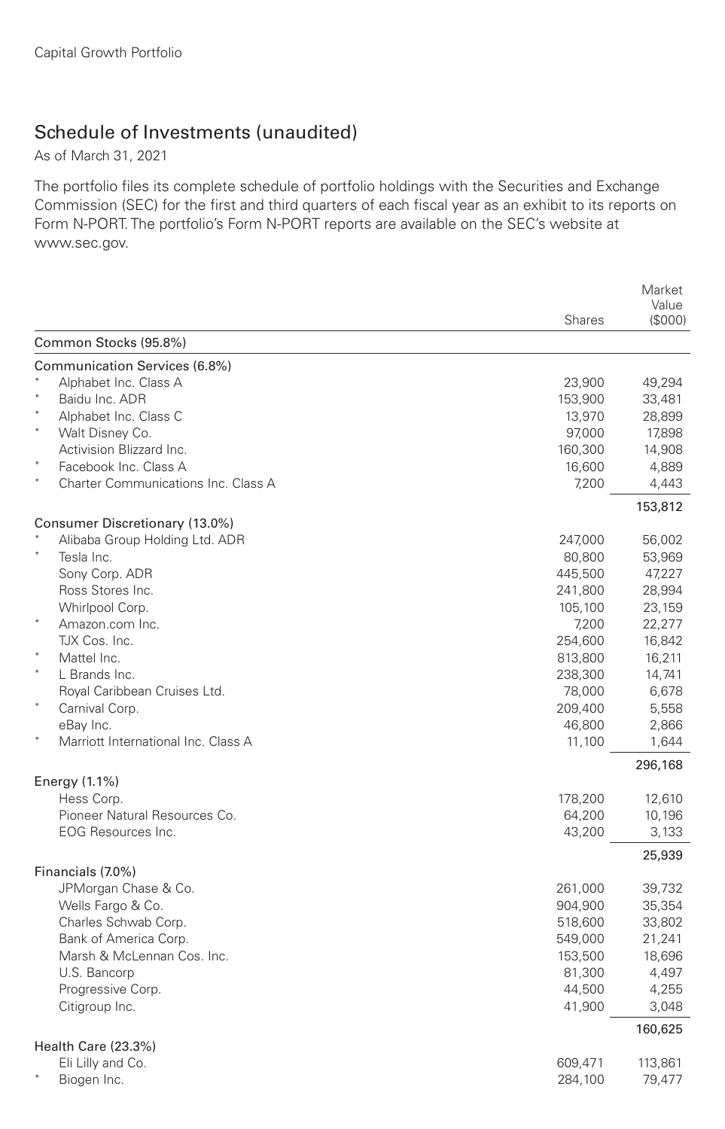## Schedule of Investments (unaudited)

As of March 31, 2021

The portfolio files its complete schedule of portfolio holdings with the Securities and Exchange Commission (SEC) for the first and third quarters of each fiscal year as an exhibit to its reports on Form N-PORT. The portfolio's Form N-PORT reports are available on the SEC's website at www.sec.gov.

|                                               |                   | Market          |
|-----------------------------------------------|-------------------|-----------------|
|                                               | <b>Shares</b>     | Value<br>(S000) |
| Common Stocks (95.8%)                         |                   |                 |
| Communication Services (6.8%)                 |                   |                 |
| Alphabet Inc. Class A                         | 23,900            | 49,294          |
| Baidu Inc. ADR                                | 153,900           | 33,481          |
| Alphabet Inc. Class C                         | 13,970            | 28,899          |
| Walt Disney Co.                               | 97,000            | 17,898          |
| Activision Blizzard Inc.                      | 160,300           | 14,908          |
| Facebook Inc. Class A                         | 16,600            | 4,889           |
| $\ast$<br>Charter Communications Inc. Class A | 7,200             | 4,443           |
|                                               |                   | 153,812         |
| Consumer Discretionary (13.0%)                |                   |                 |
| Alibaba Group Holding Ltd. ADR<br>Tesla Inc.  | 247,000           | 56,002          |
|                                               | 80,800            | 53,969          |
| Sony Corp. ADR<br>Ross Stores Inc.            | 445,500           | 47,227          |
|                                               | 241,800           | 28,994          |
| Whirlpool Corp.                               | 105,100           | 23,159          |
| Amazon.com Inc.                               | 7,200             | 22,277          |
| TJX Cos. Inc.                                 | 254,600           | 16,842          |
| Mattel Inc.<br>$\star$<br>L Brands Inc.       | 813,800           | 16.211          |
|                                               | 238,300           | 14,741<br>6,678 |
| Royal Caribbean Cruises Ltd.                  | 78,000<br>209,400 |                 |
| Carnival Corp.<br>eBay Inc.                   |                   | 5,558           |
| Marriott International Inc. Class A           | 46,800            | 2,866<br>1,644  |
|                                               | 11,100            | 296,168         |
| Energy (1.1%)                                 |                   |                 |
| Hess Corp.                                    | 178,200           | 12,610          |
| Pioneer Natural Resources Co.                 | 64,200            | 10,196          |
| <b>EOG Resources Inc.</b>                     | 43,200            | 3,133           |
|                                               |                   | 25,939          |
| Financials (7.0%)                             |                   |                 |
| JPMorgan Chase & Co.                          | 261,000           | 39,732          |
| Wells Fargo & Co.                             | 904,900           | 35,354          |
| Charles Schwab Corp.                          | 518,600           | 33,802          |
| Bank of America Corp.                         | 549,000           | 21,241          |
| Marsh & McLennan Cos. Inc.                    | 153,500           | 18,696          |
| U.S. Bancorp                                  | 81,300            | 4,497           |
| Progressive Corp.                             | 44,500            | 4,255           |
| Citigroup Inc.                                | 41,900            | 3,048           |
|                                               |                   | 160,625         |
| Health Care (23.3%)<br>Eli Lilly and Co.      | 609,471           | 113,861         |
| Biogen Inc.                                   | 284,100           | 79,477          |
|                                               |                   |                 |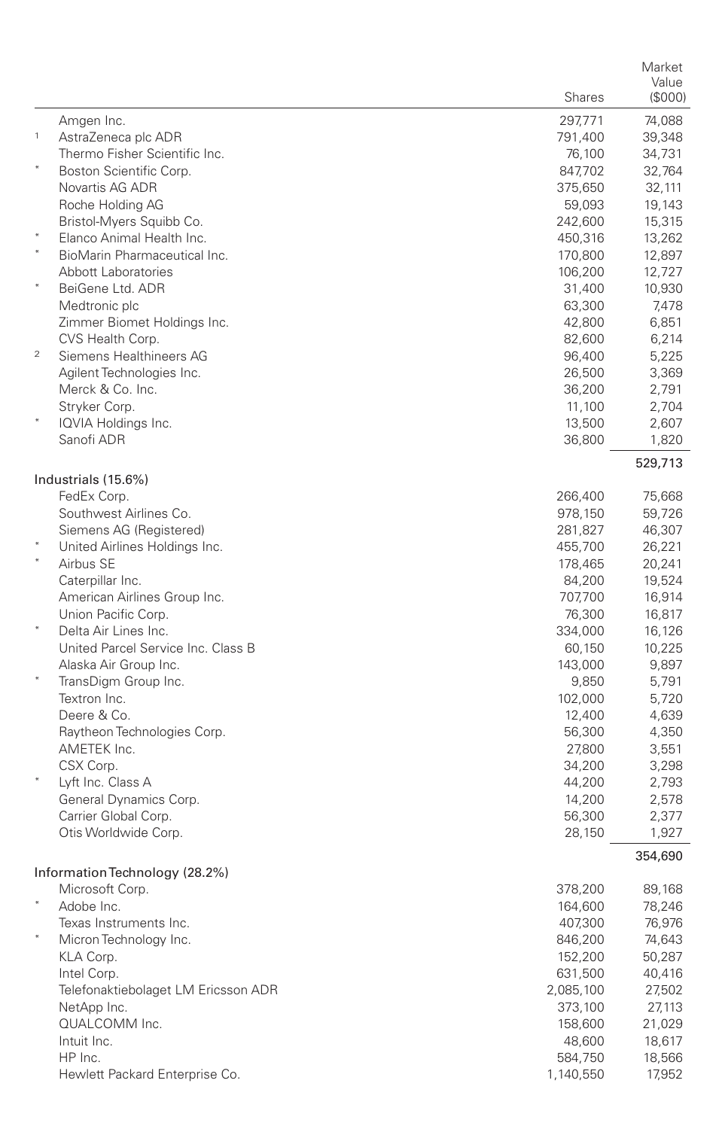|                |                                                   |                    | Market           |
|----------------|---------------------------------------------------|--------------------|------------------|
|                |                                                   | Shares             | Value<br>(S000)  |
|                |                                                   |                    |                  |
| $\mathbf{1}$   | Amgen Inc.<br>AstraZeneca plc ADR                 | 297,771<br>791,400 | 74,088<br>39,348 |
|                | Thermo Fisher Scientific Inc.                     | 76,100             | 34,731           |
| $\ast$         | Boston Scientific Corp.                           | 847,702            | 32,764           |
|                | Novartis AG ADR                                   | 375,650            | 32,111           |
|                | Roche Holding AG                                  | 59,093             | 19,143           |
|                | Bristol-Myers Squibb Co.                          | 242,600            | 15,315           |
| $\ast$         | Elanco Animal Health Inc.                         | 450,316            | 13,262           |
|                | BioMarin Pharmaceutical Inc.                      | 170,800            | 12,897           |
|                | Abbott Laboratories                               | 106,200            | 12,727           |
|                | BeiGene Ltd. ADR                                  | 31,400             | 10,930           |
|                | Medtronic plc                                     | 63,300             | 7,478            |
|                | Zimmer Biomet Holdings Inc.                       | 42,800             | 6,851            |
|                | CVS Health Corp.                                  | 82,600             | 6,214            |
| $\overline{2}$ | Siemens Healthineers AG                           | 96,400             | 5,225            |
|                | Agilent Technologies Inc.                         | 26,500             | 3,369            |
|                | Merck & Co. Inc.                                  | 36,200             | 2,791            |
|                | Stryker Corp.                                     | 11,100             | 2,704            |
|                | IQVIA Holdings Inc.<br>Sanofi ADR                 | 13,500             | 2,607            |
|                |                                                   | 36,800             | 1,820            |
|                |                                                   |                    | 529,713          |
|                | Industrials (15.6%)                               |                    |                  |
|                | FedEx Corp.<br>Southwest Airlines Co.             | 266,400            | 75,668           |
|                | Siemens AG (Registered)                           | 978,150<br>281,827 | 59,726<br>46,307 |
|                | United Airlines Holdings Inc.                     | 455,700            | 26,221           |
|                | Airbus SE                                         | 178,465            | 20,241           |
|                | Caterpillar Inc.                                  | 84,200             | 19,524           |
|                | American Airlines Group Inc.                      | 707,700            | 16,914           |
|                | Union Pacific Corp.                               | 76,300             | 16,817           |
| $\ast$         | Delta Air Lines Inc.                              | 334,000            | 16,126           |
|                | United Parcel Service Inc. Class B                | 60,150             | 10,225           |
|                | Alaska Air Group Inc.                             | 143,000            | 9,897            |
|                | TransDigm Group Inc.                              | 9,850              | 5,791            |
|                | Textron Inc.                                      | 102,000            | 5,720            |
|                | Deere & Co.                                       | 12,400             | 4,639            |
|                | Raytheon Technologies Corp.                       | 56,300             | 4,350            |
|                | AMETEK Inc.                                       | 27,800             | 3,551            |
|                | CSX Corp.                                         | 34,200             | 3,298            |
|                | Lyft Inc. Class A                                 | 44,200             | 2,793            |
|                | General Dynamics Corp.                            | 14,200             | 2,578            |
|                | Carrier Global Corp.                              | 56,300             | 2,377            |
|                | Otis Worldwide Corp.                              | 28,150             | 1,927            |
|                |                                                   |                    | 354,690          |
|                | Information Technology (28.2%)<br>Microsoft Corp. | 378,200            | 89,168           |
|                | Adobe Inc.                                        |                    | 78,246           |
|                | Texas Instruments Inc.                            | 164,600<br>407,300 | 76,976           |
|                | Micron Technology Inc.                            | 846,200            | 74,643           |
|                | KLA Corp.                                         | 152,200            | 50,287           |
|                | Intel Corp.                                       | 631,500            | 40,416           |
|                | Telefonaktiebolaget LM Ericsson ADR               | 2,085,100          | 27,502           |
|                | NetApp Inc.                                       | 373,100            | 27,113           |
|                | QUALCOMM Inc.                                     | 158,600            | 21,029           |
|                | Intuit Inc.                                       | 48,600             | 18,617           |
|                | HP Inc.                                           | 584,750            | 18,566           |
|                | Hewlett Packard Enterprise Co.                    | 1,140,550          | 17,952           |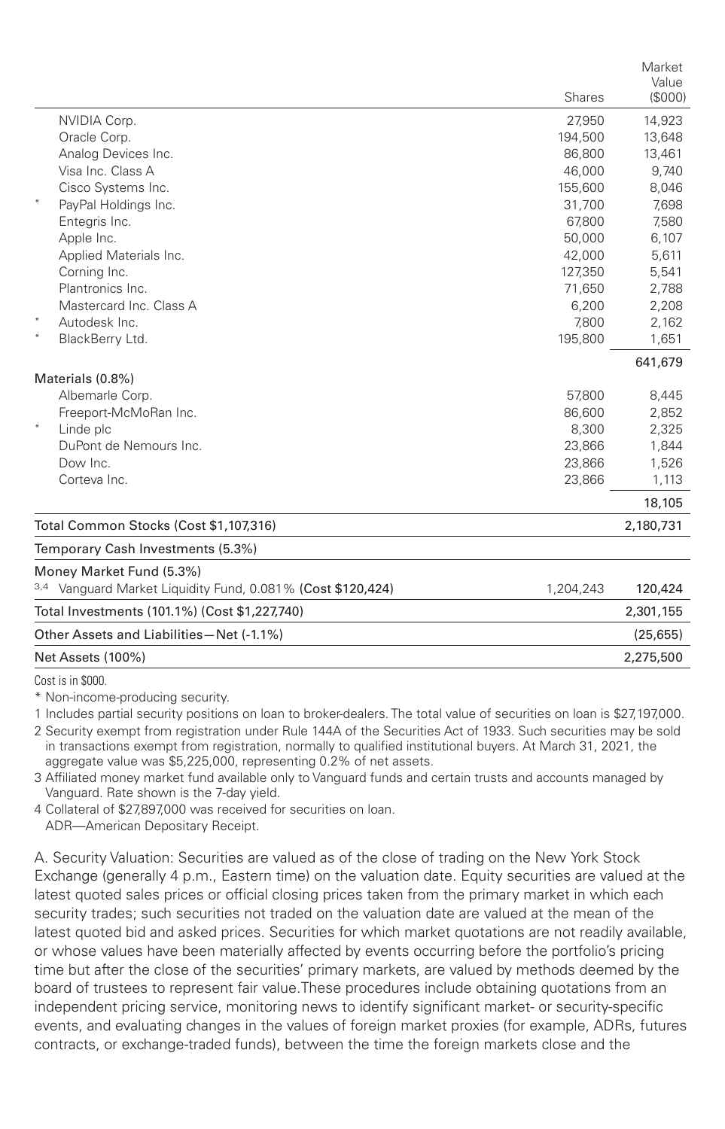|         |                                                             |           | Market<br>Value |
|---------|-------------------------------------------------------------|-----------|-----------------|
|         |                                                             | Shares    | (\$000)         |
|         | NVIDIA Corp.                                                | 27,950    | 14,923          |
|         | Oracle Corp.                                                | 194,500   | 13,648          |
|         | Analog Devices Inc.                                         | 86,800    | 13,461          |
|         | Visa Inc. Class A                                           | 46.000    | 9,740           |
|         | Cisco Systems Inc.                                          | 155,600   | 8,046           |
|         | PayPal Holdings Inc.                                        | 31,700    | 7,698           |
|         | Entegris Inc.                                               | 67,800    | 7,580           |
|         | Apple Inc.                                                  | 50,000    | 6,107           |
|         | Applied Materials Inc.                                      | 42,000    | 5,611           |
|         | Corning Inc.                                                | 127.350   | 5,541           |
|         | Plantronics Inc.                                            | 71,650    | 2,788           |
|         | Mastercard Inc. Class A                                     | 6,200     | 2,208           |
| $\star$ | Autodesk Inc.                                               | 7,800     | 2,162           |
|         | BlackBerry Ltd.                                             | 195,800   | 1,651           |
|         |                                                             |           | 641,679         |
|         | Materials (0.8%)                                            |           |                 |
|         | Albemarle Corp.                                             | 57,800    | 8,445           |
| $\ast$  | Freeport-McMoRan Inc.                                       | 86,600    | 2,852           |
|         | Linde plc                                                   | 8,300     | 2,325           |
|         | DuPont de Nemours Inc.                                      | 23,866    | 1,844           |
|         | Dow Inc.                                                    | 23,866    | 1,526           |
|         | Corteva Inc.                                                | 23,866    | 1,113           |
|         |                                                             |           | 18,105          |
|         | Total Common Stocks (Cost \$1,107,316)                      |           | 2,180,731       |
|         | Temporary Cash Investments (5.3%)                           |           |                 |
|         | Money Market Fund (5.3%)                                    |           |                 |
|         | 3,4 Vanquard Market Liquidity Fund, 0.081% (Cost \$120,424) | 1,204,243 | 120,424         |
|         | Total Investments (101.1%) (Cost \$1,227,740)               |           | 2,301,155       |
|         | Other Assets and Liabilities-Net (-1.1%)                    |           | (25, 655)       |
|         | Net Assets (100%)                                           |           |                 |
|         |                                                             |           |                 |

Cost is in \$000.

\* Non-income-producing security.

1 Includes partial security positions on loan to broker-dealers. The total value of securities on loan is \$27,197,000.

2 Security exempt from registration under Rule 144A of the Securities Act of 1933. Such securities may be sold in transactions exempt from registration, normally to qualified institutional buyers. At March 31, 2021, the aggregate value was \$5,225,000, representing 0.2% of net assets.

3 Affiliated money market fund available only to Vanguard funds and certain trusts and accounts managed by Vanguard. Rate shown is the 7-day yield.

4 Collateral of \$27,897,000 was received for securities on loan. ADR—American Depositary Receipt.

A. Security Valuation: Securities are valued as of the close of trading on the New York Stock Exchange (generally 4 p.m., Eastern time) on the valuation date. Equity securities are valued at the latest quoted sales prices or official closing prices taken from the primary market in which each security trades; such securities not traded on the valuation date are valued at the mean of the latest quoted bid and asked prices. Securities for which market quotations are not readily available, or whose values have been materially affected by events occurring before the portfolio's pricing time but after the close of the securities' primary markets, are valued by methods deemed by the board of trustees to represent fair value.These procedures include obtaining quotations from an independent pricing service, monitoring news to identify significant market- or security-specific events, and evaluating changes in the values of foreign market proxies (for example, ADRs, futures contracts, or exchange-traded funds), between the time the foreign markets close and the